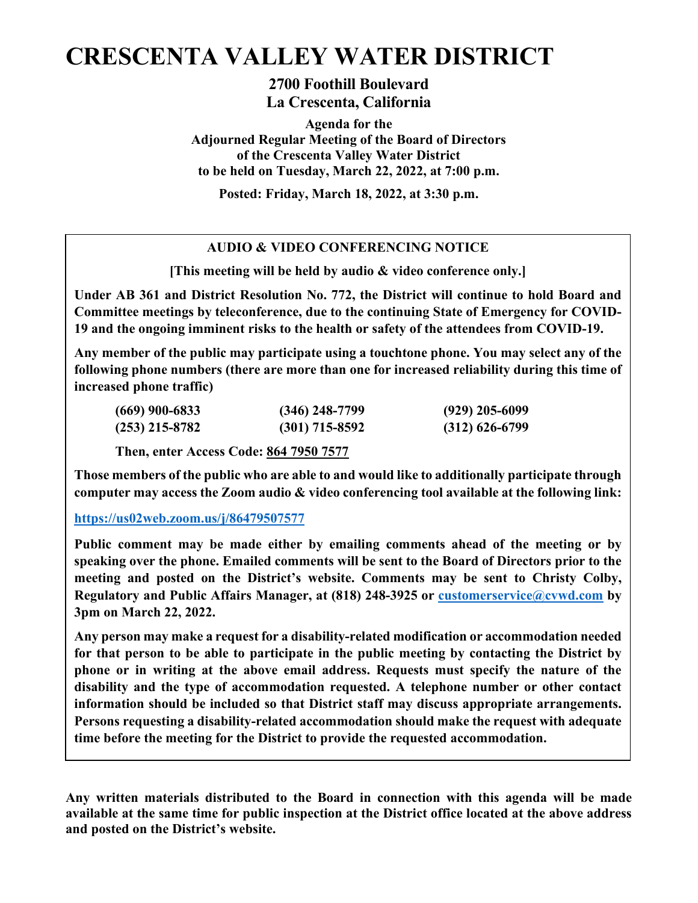# **CRESCENTA VALLEY WATER DISTRICT**

**2700 Foothill Boulevard La Crescenta, California**

**Agenda for the Adjourned Regular Meeting of the Board of Directors of the Crescenta Valley Water District to be held on Tuesday, March 22, 2022, at 7:00 p.m.**

**Posted: Friday, March 18, 2022, at 3:30 p.m.**

## **AUDIO & VIDEO CONFERENCING NOTICE**

**[This meeting will be held by audio & video conference only.]**

**Under AB 361 and District Resolution No. 772, the District will continue to hold Board and Committee meetings by teleconference, due to the continuing State of Emergency for COVID-19 and the ongoing imminent risks to the health or safety of the attendees from COVID-19.**

**Any member of the public may participate using a touchtone phone. You may select any of the following phone numbers (there are more than one for increased reliability during this time of increased phone traffic)**

| $(669)$ 900-6833 | $(346)$ 248-7799 | $(929)$ 205-6099 |
|------------------|------------------|------------------|
| $(253)$ 215-8782 | $(301)$ 715-8592 | $(312)$ 626-6799 |

**Then, enter Access Code: 864 7950 7577**

**Those members of the public who are able to and would like to additionally participate through computer may access the Zoom audio & video conferencing tool available at the following link:**

### **<https://us02web.zoom.us/j/86479507577>**

**Public comment may be made either by emailing comments ahead of the meeting or by speaking over the phone. Emailed comments will be sent to the Board of Directors prior to the meeting and posted on the District's website. Comments may be sent to Christy Colby, Regulatory and Public Affairs Manager, at (818) 248-3925 or [customerservice@cvwd.com](mailto:customerservice@cvwd.com) by 3pm on March 22, 2022.** 

**Any person may make a request for a disability-related modification or accommodation needed for that person to be able to participate in the public meeting by contacting the District by phone or in writing at the above email address. Requests must specify the nature of the disability and the type of accommodation requested. A telephone number or other contact information should be included so that District staff may discuss appropriate arrangements. Persons requesting a disability-related accommodation should make the request with adequate time before the meeting for the District to provide the requested accommodation.**

**Any written materials distributed to the Board in connection with this agenda will be made available at the same time for public inspection at the District office located at the above address and posted on the District's website.**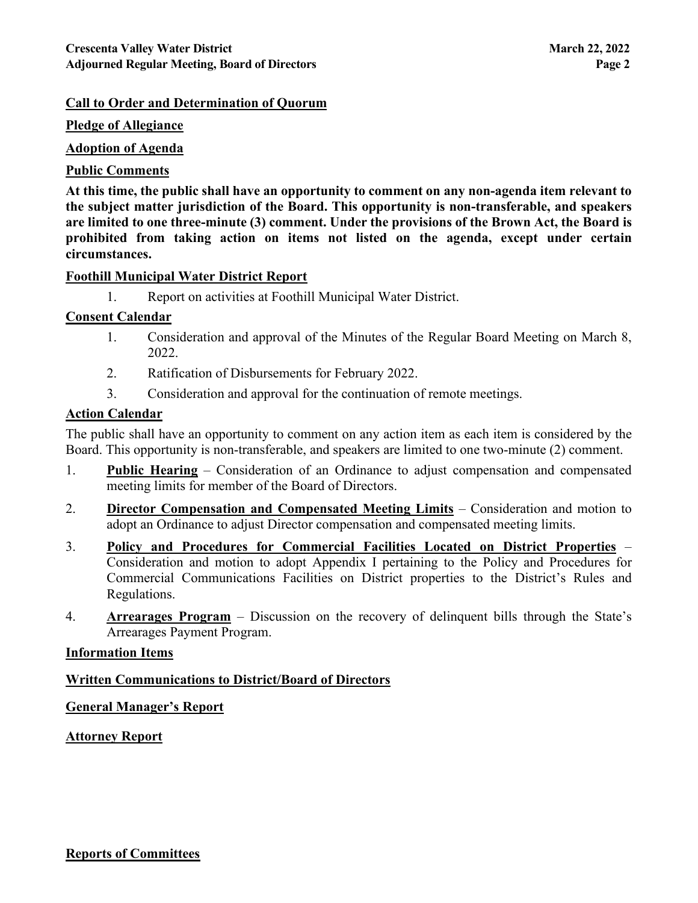#### **Call to Order and Determination of Quorum**

#### **Pledge of Allegiance**

#### **Adoption of Agenda**

#### **Public Comments**

**At this time, the public shall have an opportunity to comment on any non-agenda item relevant to the subject matter jurisdiction of the Board. This opportunity is non-transferable, and speakers are limited to one three-minute (3) comment. Under the provisions of the Brown Act, the Board is prohibited from taking action on items not listed on the agenda, except under certain circumstances.**

#### **Foothill Municipal Water District Report**

1. Report on activities at Foothill Municipal Water District.

#### **Consent Calendar**

- 1. Consideration and approval of the Minutes of the Regular Board Meeting on March 8, 2022.
- 2. Ratification of Disbursements for February 2022.
- 3. Consideration and approval for the continuation of remote meetings.

#### **Action Calendar**

The public shall have an opportunity to comment on any action item as each item is considered by the Board. This opportunity is non-transferable, and speakers are limited to one two-minute (2) comment.

- 1. **Public Hearing** Consideration of an Ordinance to adjust compensation and compensated meeting limits for member of the Board of Directors.
- 2. **Director Compensation and Compensated Meeting Limits** Consideration and motion to adopt an Ordinance to adjust Director compensation and compensated meeting limits.
- 3. **Policy and Procedures for Commercial Facilities Located on District Properties** Consideration and motion to adopt Appendix I pertaining to the Policy and Procedures for Commercial Communications Facilities on District properties to the District's Rules and Regulations.
- 4. **Arrearages Program** Discussion on the recovery of delinquent bills through the State's Arrearages Payment Program.

#### **Information Items**

#### **Written Communications to District/Board of Directors**

#### **General Manager's Report**

#### **Attorney Report**